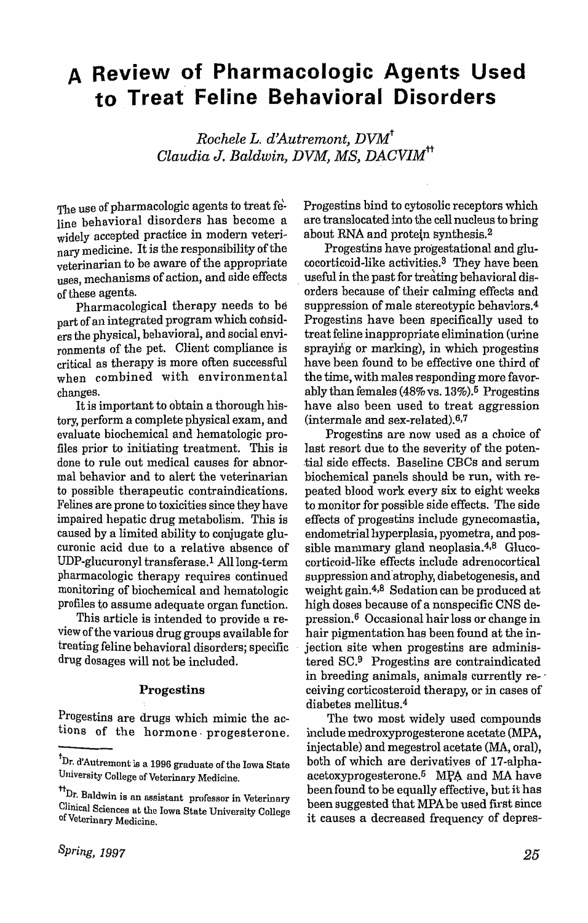# **A Review of Pharmacologic Agents Used to Treat Feline Behavioral Disorders**

*Rochele L. d'Autremont, DVMt Claudia* J. *Baldwin, DVM, MS, DACVIMtt* 

The use of pharmacologic agents to treat feline behavioral disorders has become a widely accepted practice in modern veterinary medicine. It is the responsibility of the veterinarian to be aware of the appropriate uses, mechanisms of action, and side effects of these agents.

Pharmacological therapy needs to be part of an integrated program which considers the physical, behavioral, and social environments of the pet. Client compliance is critical as therapy is more often successful when combined with environmental changes.

It is important to obtain a thorough history, perform a complete physical exam, and evaluate biochemical and hematologic profiles prior to initiating treatment. This is done to rule out medical causes for abnormal behavior and to alert the veterinarian to possible therapeutic contraindications. Felines are prone to toxicities since they have impaired hepatic drug metabolism. This is caused by a limited ability to conjugate glucuronic acid due to a relative absence of UDP-glucuronyl transferase.<sup>1</sup> All long-term pharmacologic therapy requires continued monitoring of biochemical and hematologic profiles to assume adequate organ function.

This article is intended to provide a review of the various drug groups available for treating feline behavioral disorders; specific drug dosages will not be included.

### Progestins

Progestins are drugs which mimic the actions of the hormone, progesterone. Progestins bind to cytosolic receptors which are translocated into the cell nucleus to bring about RNA and protein synthesis.<sup>2</sup>

Progestins have progestational and glucocorticoid-like activities.<sup>3</sup> They have been useful in the past for treating behavioral disorders because of their calming effects and suppression of male stereotypic behaviors.4 Progestins have been specifically used to treat feline inappropriate elimination (urine spraying or marking), in which progestins have been found to be effective one third of the time, with males responding more favorably than females (48%vs. 13%).6 Progestins have also been used to treat aggression (intermale and sex-related).6,7

Progestins are now used as a choice of last resort due to the severity of the poten- .tial side effects. Baseline CBCs and serum biochemical panels should be run, with repeated blood work every six to eight weeks to monitor for possible side effects. The side effects of progestins include gynecomastia, endometrial hyperplasia, pyometra, and possible mammary gland neoplasia.<sup>4,8</sup> Glucocorticoid-like effects include adrenocortical suppression and'atrophy, diabetogenesis, and weight gain.4,B Sedation can be produced at high doses because of a nonspecific CNS depression.6 Occasional hair loss or change in hair pigmentation has been found at the in- . jection site when progestins are administered SC.9 Progestins are contraindicated in breeding animals, animals currently re- ' ceiving corticosteroid therapy, or in cases of diabetes mellitus.<sup>4</sup>

The two most widely used compounds include medroxyprogesterone acetate (MPA, injectable) and megestrol acetate (MA, oral), both of which are derivatiyes of 17 -alphaacetoxyprogesterone.<sup>5</sup> MPA and MA have been found to be equally effective, but it has been suggested that MPA be used first since it causes a decreased frequency of depres-

 ${\rm^{\texttt{t}}}$ Dr. d'Autremont is a 1996 graduate of the Iowa State University College of Veterinary Medicine.

 $^{\text{tt}}$ Dr. Baldwin is an assistant professor in Veterinary Clinical Sciences at the Iowa State University College of Veterinary Medicine.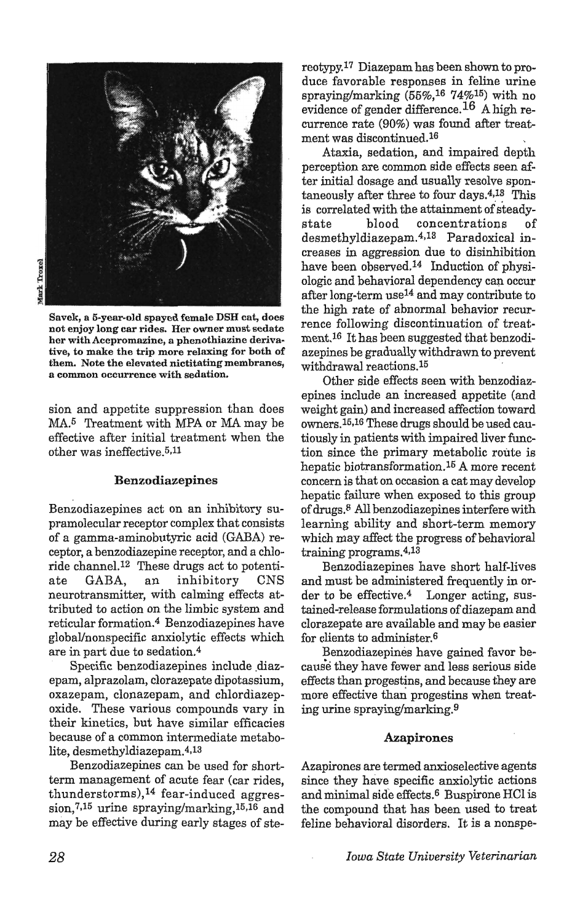

Savek, a 5-year-oJd spayed female DSH cat, does not enjoy long car rides. Her owner must sedate her with Acepromazine, a phenothiazine derivative, to make the trip more relaxing for both of them. Note the elevated nictitating membranes, a common occurrence with sedation.

sion and appetite suppression than does MA.5 Treatment with MPA or MA may be effective after initial treatment when the other was ineffective. 5,11

#### Benzodiazepines

Benzodiazepines act on an inhibitory supramolecular receptor complex that consists of a gamma-aminobutyric acid (GABA) receptor, a benzodiazepine receptor, and a chloride channel.12 These drugs act to potentiate GABA, an inhibitory CNS neurotransmitter, with calming effects attributed to action on the limbic system and reticular formation.4 Benzodiazepines have globa1Jnonspecific anxiolytic effects which are in part due to sedation.4

Specific benzodiazepines include diazepam, alprazolam, clorazepate dipotassium, oxazepam, clonazepam, and chlordiazepoxide. These various compounds vary in their kinetics, but have similar efficacies because of a common intermediate metabolite, desmethyldiazepam.4,13

Benzodiazepines can be used for shortterm management of acute fear (car rides, thunderstorms), $^{14}$  fear-induced aggression,<sup>7,15</sup> urine spraying/marking,<sup>15,16</sup> and may be effective during early stages of stereotypy.17 Diazepam has been shown to produce favorable responses in feline urine spraying/marking  $(55\%, 16\,74\%)^{15}$  with no evidence of gender difference.I6 A high recurrence rate (90%) was found after treatment was discontinued.<sup>16</sup>

Ataxia, sedation, and impaired depth perception are common side effects seen after initial dosage and usually resolve spontaneously after three to four days. $4,13$  This is correlated with the attainment of steadystate blood concentrations of desmethyldiazepam.<sup>4,13</sup> Paradoxical increases in aggression due to disinhibition have been observed.14 Induction of physiologic and behavioral dependency can occur after long-term use14 and may contribute to the high rate of abnormal behavior recurrence following discontinuation of treatment.16 It has been suggested that benzodiazepines be gradually withdrawn to prevent withdrawal reactions.<sup>15</sup>

Other side effects seen with benzodiazepines include an increased appetite (and weight gain) and increased affection toward owners.15,16 These drugs should be used cautiously in patients with impaired liver function since the primary metabolic route is hepatic biotransformation.15 A more recent concern is that on occasion a cat may develop hepatic failure when exposed to this group of drugs. 8 All benzodiazepines interfere with learning ability and short-term memory which may affect the progress of behavioral training programs.4,13

Benzodiazepines have short half-lives and must be administered frequently in order to be effective.4 Longer acting, sustained-release formulations of diazepam and clorazepate are available and may be easier for clients to administer. 6

Benzodiazepines have gained favor because they have fewer and less serious side effects than progestins, and because they are more effective than progestins when treating urine spraying/marking.9

#### Azapirones

Azapirones are termed anxioselective agents since they have specific anxiolytic actions and minimal side effects.6 Buspirone HCI is the compound that has been used to treat feline behavioral disorders. It is a nonspe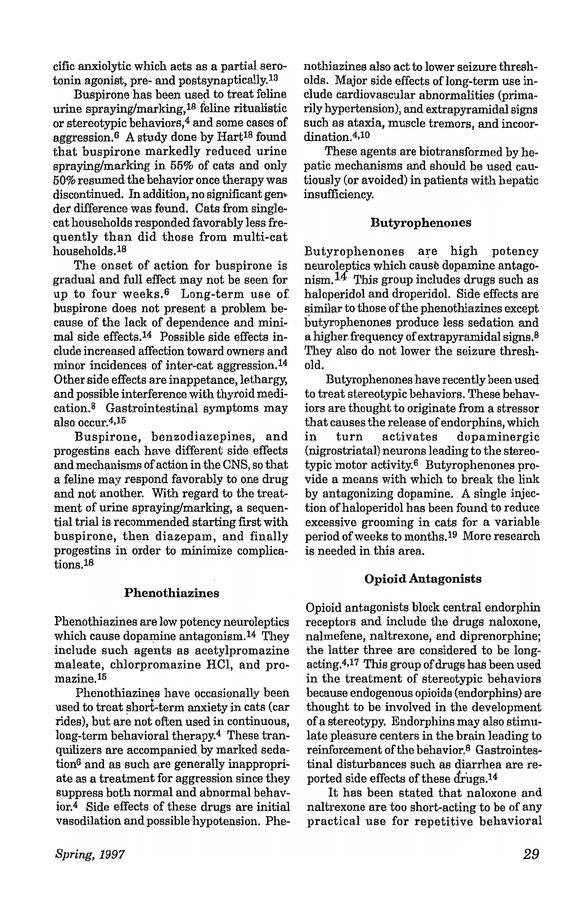cific anxiolytic which acts as a partial serotonin agonist, pre- and postsynaptically,13

Buspirone has been used to treat feline urine spraying/marking, $^{18}$  feline ritualistic or stereotypic behaviors,4 and some cases of aggression.<sup>6</sup> A study done by Hart<sup>18</sup> found that buspirone markedly reduced urine spraying/marking in 55% of cats and only 50% resumed the behavior once therapy was discontinued. In addition, no significant gen~ der difference was found. Cats from singlecat households responded favorably less frequently than did those from multi-cat households,18

The onset of action for buspirone is gradual and full effect may not be seen for up to four weeks.<sup>6</sup> Long-term use of buspirone does not present a problem because of the lack of dependence and minimal side effects.14 Possible side effects include increased affection toward owners and minor incidences of inter-cat aggression.<sup>14</sup> Other side effects are inappetance, lethargy, and possible interference with thyroid medication.<sup>8</sup> Gastrointestinal symptoms may also occur.4,15

Buspirone, benzodiazepines, and progestins each have different side effects and mechanisms of action in the CNS, so that a feline may respond favorably to one drug and not another. With regard to the treatment of urine spraying/marking, a sequential trial is recommended starting first with buspirone, then diazepam, and finally progestins in order to minimize complications.18

## Pbenothiazines

Phenothiazines are low potency neuroleptics which cause dopamine antagonism.<sup>14</sup> They include such agents as acetylpromazine maleate, chlorpromazine HCl, and promazine.15

Phenothiazines have occasionally been used to treat short-term anxiety in cats (car rides), but are not often used in continuous, long-term behavioral therapy.<sup>4</sup> These tranquilizers are accompanied by marked sedation<sup>6</sup> and as such are generally inappropriate as a treatment for aggression since they suppress both normal and abnormal behav~ ior.4 Side effects of these drugs are initial vasodilation and possible-hypotension. Phe~ nothiazines also act to lower seizure thresholds. Major side effects of long-term use include cardiovascular abnormalities (primarily hypertension), and extrapyramidal signs such as ataxia, muscle tremors, and incoordination.4,10

These agents are biotransformed by hepatic mechanisms and should be used cau~ tiously (or avoided) in patients with hepatic insufficiency.

## **Butyrophenones**

Butyrophenones are high potency neuroleptics which cause dopamine antago~ nism.  $^{14}$  This group includes drugs such as haloperidol and droperidol. Side effects are similar to those of the phenothiazines except butyrophenones produce less sedation and a higher frequency of extrapyramidal signs. $8$ They also do not lower the seizure threshold.

Butyrophenones have recently been used to treat stereotypic behaviors. These behaviors are thought to originate from a stressor that causes the release of endorphins, which in turn activates dopaminergic (nigrostriatal) neurons leading to the stereotypic motor activity.<sup>6</sup> Butyrophenones provide a means with which to break the link by antagonizing dopamine. A single injection of haloperidol has been found to reduce excessive grooming in cats for a variable period of weeks to months.19 More research is needed in this area.

## Opioid Antagonists

Opioid antagonists block central endorphin receptors and include the drugs naloxone, nalmefene, naltrexone, and diprenorphinej the latter three are considered to be longacting.4,17 This group of drugs has been used in the treatment of stereotypic behaviors because endogenous opioids (endorphins) are thought to be involved in the development of a stereotypy. Endorphins may also stimulate pleasure centers in the brain leading to reinforcement of the behavior.8 Gastrointestinal disturbances such as diarrhea are reported side effects of these drugs.14

It has been stated that naloxone and naltrexone are too short-acting to be of any practical use for repetitive behavioral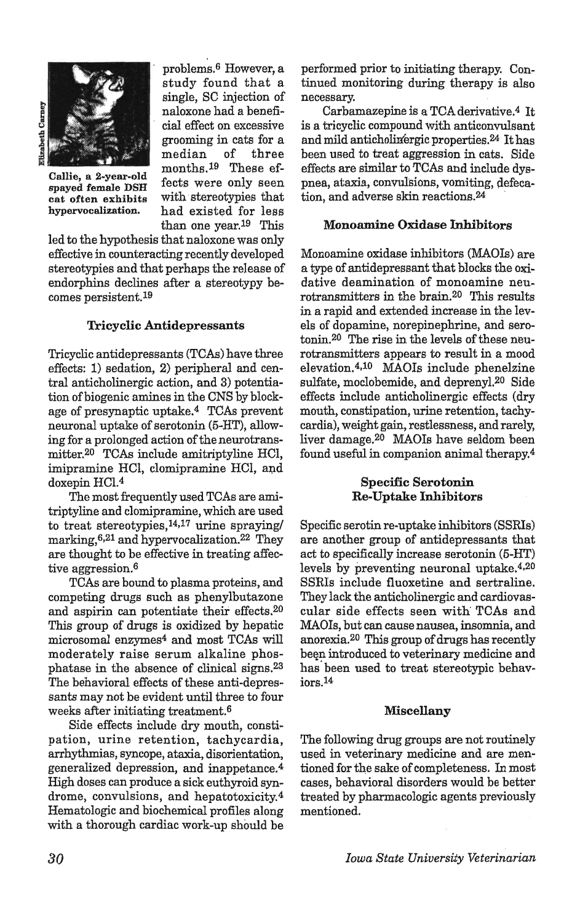

Callie, a 2-year-old spayed female DSH cat often exhibits hypervocalization.

problems.6 However, a study found that a single, SC injection of naloxone had a beneficial effect on excessive grooming in cats for a median of three months.<sup>19</sup> These effects were only seen with stereotypies that had existed for less than one year.19 This

led to the hypothesis that naloxone was only effective in counteracting recently developed stereotypies and that perhaps the release of endorphins declines after a stereotypy becomes persistent.19

## Tricyclic Antidepressants

Tricyclic antidepressants (TCAs) have three effects: 1) sedation, 2) peripheral and central anticholinergic action, and 3) potentiation of biogenic amines in the CNS by blockage of presynaptic uptake.4 TCAs prevent neuronal uptake of serotonin (5-HT), allowing for a prolonged action of the neurotransmitter.20 TCAs include amitriptyline HCI, imipramine HCI, clomipramine HCI, and doxepin HC1.4

The most frequently used TCAs are amitriptyline and clomipramine, which are used to treat stereotypies, $14,17$  urine spraying/ marking,  $6,21$  and hypervocalization.  $22$  They are thought to be effective in treating affective aggression.<sup>6</sup>

TCAs are bound to plasma proteins, and competing drugs such as phenylbutazone and aspirin can potentiate their effects.20 This group of drugs is oxidized by hepatic microsomal enzymes4 and most TCAs will moderately raise serum alkaline phosphatase in the absence of clinical signs.23 The behavioral effects of these anti-depressants may not be evident until three to four weeks after initiating treatment.6

Side effects include dry mouth, constipation, urine retention, tachycardia, arrhythmias, syncope, ataxia, disorientation, generalized depression, and inappetance.<sup>4</sup> High doses can produce a sick euthyroid syndrome, convulsions, and hepatotoxicity.4 Hematologic and biochemical profiles along with a thorough cardiac work-up should be

performed prior to initiating therapy. Continued monitoring during therapy is also necessary.

Carbamazepine is a TCA derivative.<sup>4</sup> It is a tricyclic compound with anticonvulsant and mild anticholinergic properties. $24$  It has been used to treat aggression in cats. Side effects are similar to TCAs and include dyspnea, ataxia, convulsions, vomiting, defecation, and adverse skin reactions.<sup>24</sup>

#### Monoamine Oxidase Inhibitors

Monoamine oxidase inhibitors (MAOIs) are a type of antidepressant that blocks the oxidative deamination of monoamine neurotransmitters in the brain.2o This results in a rapid and extended increase in the levels of dopamine, norepinephrine, and serotonin.20 The rise in the levels of these neurotransmitters appears to result in a mood elevation.4,10 MAOIs include phenelzine sulfate, moclobemide, and depreny1.2o Side effects include anticholinergic effects (dry mouth, constipation, urine retention, tachycardia), weight gain, restlessness, and rarely, liver damage.<sup>20</sup> MAOIs have seldom been found useful in companion animal therapy.4

### Specific Serotonin Re-Uptake Inhibitors

Specific serotin re-uptake inhibitors (SSRIs) are another group of antidepressants that act to specifically increase serotonin (5-HT) levels by preventing neuronal uptake.4,20 SSRls include fluoxetine and sertraline. They lack the anticholinergic and cardiovascular side effects seen with TCAs and MAOls, but can cause nausea, insomnia, and anorexia.20 This group of drugs has recently been introduced to veterinary medicine and has been used to treat stereotypic behaviors.14

### Miscellany

The following drug groups are not routinely used in veterinary medicine and are mentioned for the sake of completeness. In most cases, behavioral disorders would be better treated by pharmacologic agents previously mentioned.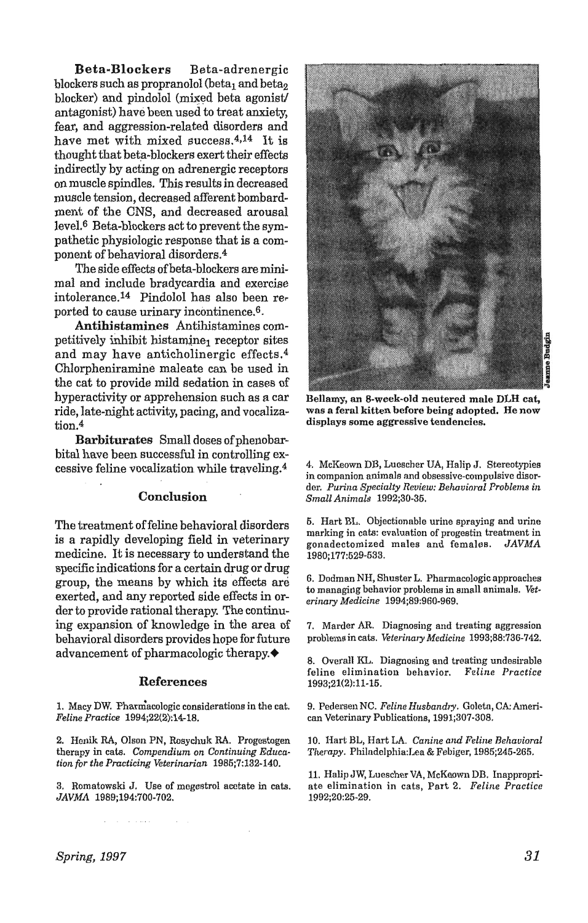Beta-Blockers Beta~adrenergic blockers such as propranolol (beta<sub>1</sub> and beta<sub>2</sub> blocker) and pindolol (mixed beta agonist/ antagonist) have been used to treat anxiety, fear, and aggression-related disorders and have met with mixed success.4,14 It is thought that beta~blockers exert their effects indirectly by acting on adrenergic receptors on muscle spindles. This results in decreased muscle tension, decreased afferent bombardment of the CNS, and decreased arousal level.<sup>6</sup> Beta-blockers act to prevent the sympathetic physiologic response that is a component of behavioral disorders.4

The side effects of beta-blockers are minimal and include bradycardia and exercise intolerance.14 Findolol has also been rer ported to cause urinary incontinence.6-

Antihistamines Antihistamines competitively inhibit histamine<sub>1</sub> receptor sites and may have anticholinergic effects.4 Chlorpheniramine maleate can be used in the cat to provide mild sedation in cases of hyperactivity or apprehension such as a car ride, late-night activity, pacing, and vocalization.4

Barbiturates Small doses of phenobarbital have been successful in controlling excessive feline vocalization while traveling.4

### Conclusion

The treatment of feline behavioral disorders is a rapidly developing field in veterinary medicine. It is necessary to understand the specific indications for a certain drug or drug group, the means by which its effects are exerted, and any reported side effects in order to provide rational therapy. The continuing expansion of knowledge in the area of behavioral disorders provides hope for future advancement of pharmacologic therapy .•

#### References

1. Macy DW. Pharmacologic considerations in the cat. *Feline Practice 1994;22(2):14-18.* 

2. Henik RA, OIson PN, Rosychuk RA. Progcstogen therapy in cats. *Compendium on Continuing Educa· tion for the Practicing Veterinarian 1985;7:132·140.* 

3. Romatowski J. Use of megestrol acetate in cats. *JAVMA 1989;194:700-702.* 



Bellamy, an 8·week-old neutered male DLH cat, was a feral kitten before being adopted. He now displays some aggressive tendencies.

4. McKeown DB, Luescher UA, Halip J. Stereotypies in companion animals and obsessivc-compulsivc disorder. Purina Specialty Review: Behavioral Problems in *Small Animals 1992;30-35.* 

5. Hart BL. Objectionable urine spraying and urine marking in cats: evaluation of progestin treatment in gonadectomized males and females. *JAVMA*  1980;177:529-533.

6. Dodman NH, Shuster L. Pharmacologic approaches to managing bchavior problcms in small animals. *Vet· erinary Medicine 1994;89:960·969.* 

7. Marder AR. Diagnosing and treating aggression problems in cats. Veterinary Medicine 1993;88:736-742.

8. Overall KL. Diagnosing and treating undesirable feline elimination behavior. *Feline Practice*  1993;21(2):11-15.

9. Pedersen NC. Feline Husbandry. Goletn, CA: American Veterinary Publications, 1991;307-308.

]0. Hart BL, Hart LA. *Canine and Feline Behavioral Therapy.* Phillldelphia:Lea & Febiger, 1985;245·265.

11. Halip JW, Luescher VA, McKeown DB. Inappropriate elimination in cats, Part 2. Feline Practice 1992j20:25·29.